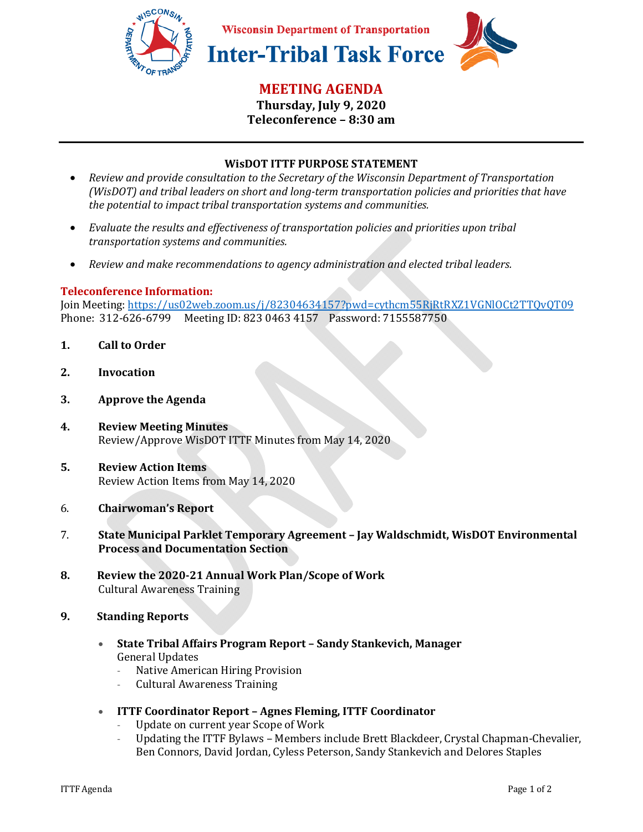

**MEETING AGENDA Thursday, July 9, 2020** 

**Teleconference – 8:30 am** 

# **WisDOT ITTF PURPOSE STATEMENT**

- *Review and provide consultation to the Secretary of the Wisconsin Department of Transportation (WisDOT) and tribal leaders on short and long-term transportation policies and priorities that have the potential to impact tribal transportation systems and communities.*
- *Evaluate the results and effectiveness of transportation policies and priorities upon tribal transportation systems and communities.*
- *Review and make recommendations to agency administration and elected tribal leaders.*

## **Teleconference Information:**

Join Meeting: https://us02web.zoom.us/j/82304634157?pwd=cythcm55RjRtRXZ1VGNlOCt2TTQvQT09 Phone: 312-626-6799 Meeting ID: 823 0463 4157 Password: 7155587750

- **1. Call to Order**
- **2. Invocation**
- **3. Approve the Agenda**
- **4. Review Meeting Minutes**  Review/Approve WisDOT ITTF Minutes from May 14, 2020
- **5. Review Action Items**  Review Action Items from May 14, 2020
- 6. **Chairwoman's Report**
- 7. **State Municipal Parklet Temporary Agreement Jay Waldschmidt, WisDOT Environmental Process and Documentation Section**
- **8. Review the 2020-21 Annual Work Plan/Scope of Work**  Cultural Awareness Training

## **9. Standing Reports**

- **State Tribal Affairs Program Report Sandy Stankevich, Manager**  General Updates
	- Native American Hiring Provision
	- Cultural Awareness Training
- **ITTF Coordinator Report Agnes Fleming, ITTF Coordinator** 
	- Update on current year Scope of Work
	- Updating the ITTF Bylaws Members include Brett Blackdeer, Crystal Chapman-Chevalier, Ben Connors, David Jordan, Cyless Peterson, Sandy Stankevich and Delores Staples